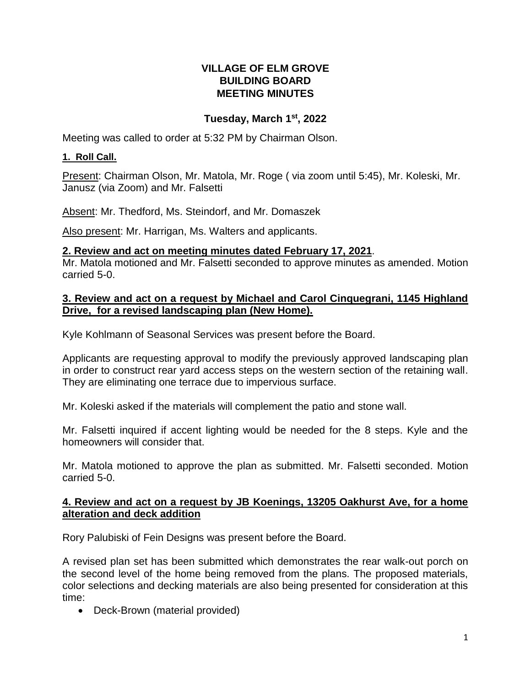# **VILLAGE OF ELM GROVE BUILDING BOARD MEETING MINUTES**

# **Tuesday, March 1st , 2022**

Meeting was called to order at 5:32 PM by Chairman Olson.

### **1. Roll Call.**

Present: Chairman Olson, Mr. Matola, Mr. Roge ( via zoom until 5:45), Mr. Koleski, Mr. Janusz (via Zoom) and Mr. Falsetti

Absent: Mr. Thedford, Ms. Steindorf, and Mr. Domaszek

Also present: Mr. Harrigan, Ms. Walters and applicants.

### **2. Review and act on meeting minutes dated February 17, 2021**.

Mr. Matola motioned and Mr. Falsetti seconded to approve minutes as amended. Motion carried 5-0.

# **3. Review and act on a request by Michael and Carol Cinquegrani, 1145 Highland Drive, for a revised landscaping plan (New Home).**

Kyle Kohlmann of Seasonal Services was present before the Board.

Applicants are requesting approval to modify the previously approved landscaping plan in order to construct rear yard access steps on the western section of the retaining wall. They are eliminating one terrace due to impervious surface.

Mr. Koleski asked if the materials will complement the patio and stone wall.

Mr. Falsetti inquired if accent lighting would be needed for the 8 steps. Kyle and the homeowners will consider that.

Mr. Matola motioned to approve the plan as submitted. Mr. Falsetti seconded. Motion carried 5-0.

#### **4. Review and act on a request by JB Koenings, 13205 Oakhurst Ave, for a home alteration and deck addition**

Rory Palubiski of Fein Designs was present before the Board.

A revised plan set has been submitted which demonstrates the rear walk-out porch on the second level of the home being removed from the plans. The proposed materials, color selections and decking materials are also being presented for consideration at this time:

• Deck-Brown (material provided)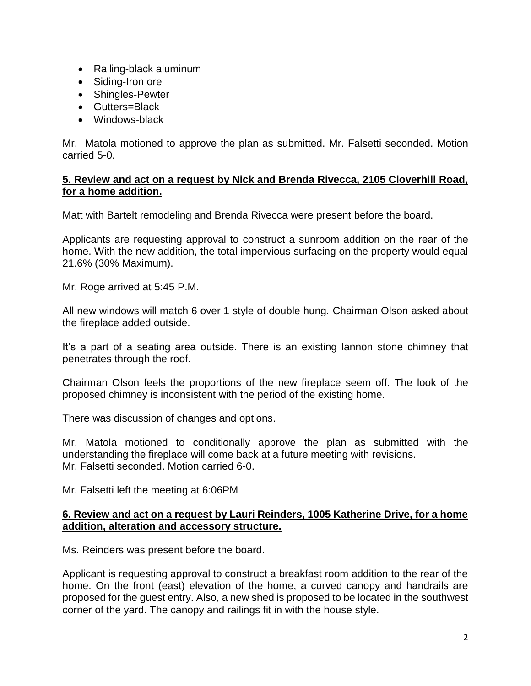- Railing-black aluminum
- Siding-Iron ore
- Shingles-Pewter
- Gutters=Black
- Windows-black

Mr. Matola motioned to approve the plan as submitted. Mr. Falsetti seconded. Motion carried 5-0.

### **5. Review and act on a request by Nick and Brenda Rivecca, 2105 Cloverhill Road, for a home addition.**

Matt with Bartelt remodeling and Brenda Rivecca were present before the board.

Applicants are requesting approval to construct a sunroom addition on the rear of the home. With the new addition, the total impervious surfacing on the property would equal 21.6% (30% Maximum).

Mr. Roge arrived at 5:45 P.M.

All new windows will match 6 over 1 style of double hung. Chairman Olson asked about the fireplace added outside.

It's a part of a seating area outside. There is an existing lannon stone chimney that penetrates through the roof.

Chairman Olson feels the proportions of the new fireplace seem off. The look of the proposed chimney is inconsistent with the period of the existing home.

There was discussion of changes and options.

Mr. Matola motioned to conditionally approve the plan as submitted with the understanding the fireplace will come back at a future meeting with revisions. Mr. Falsetti seconded. Motion carried 6-0.

Mr. Falsetti left the meeting at 6:06PM

#### **6. Review and act on a request by Lauri Reinders, 1005 Katherine Drive, for a home addition, alteration and accessory structure.**

Ms. Reinders was present before the board.

Applicant is requesting approval to construct a breakfast room addition to the rear of the home. On the front (east) elevation of the home, a curved canopy and handrails are proposed for the guest entry. Also, a new shed is proposed to be located in the southwest corner of the yard. The canopy and railings fit in with the house style.